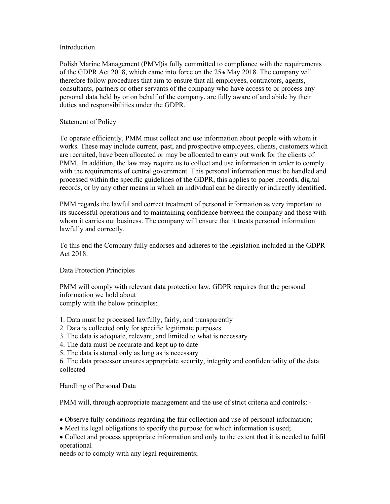### Introduction

Polish Marine Management (PMM)is fully committed to compliance with the requirements of the GDPR Act 2018, which came into force on the  $25<sub>th</sub>$  May 2018. The company will therefore follow procedures that aim to ensure that all employees, contractors, agents, consultants, partners or other servants of the company who have access to or process any personal data held by or on behalf of the company, are fully aware of and abide by their duties and responsibilities under the GDPR.

# Statement of Policy

To operate efficiently, PMM must collect and use information about people with whom it works. These may include current, past, and prospective employees, clients, customers which are recruited, have been allocated or may be allocated to carry out work for the clients of PMM.. In addition, the law may require us to collect and use information in order to comply with the requirements of central government. This personal information must be handled and processed within the specific guidelines of the GDPR, this applies to paper records, digital records, or by any other means in which an individual can be directly or indirectly identified.

PMM regards the lawful and correct treatment of personal information as very important to its successful operations and to maintaining confidence between the company and those with whom it carries out business. The company will ensure that it treats personal information lawfully and correctly.

To this end the Company fully endorses and adheres to the legislation included in the GDPR Act 2018.

# Data Protection Principles

PMM will comply with relevant data protection law. GDPR requires that the personal information we hold about comply with the below principles:

1. Data must be processed lawfully, fairly, and transparently

- 2. Data is collected only for specific legitimate purposes
- 3. The data is adequate, relevant, and limited to what is necessary
- 4. The data must be accurate and kept up to date
- 5. The data is stored only as long as is necessary

6. The data processor ensures appropriate security, integrity and confidentiality of the data collected

# Handling of Personal Data

PMM will, through appropriate management and the use of strict criteria and controls: -

- Observe fully conditions regarding the fair collection and use of personal information;
- Meet its legal obligations to specify the purpose for which information is used;
- Collect and process appropriate information and only to the extent that it is needed to fulfil operational

needs or to comply with any legal requirements;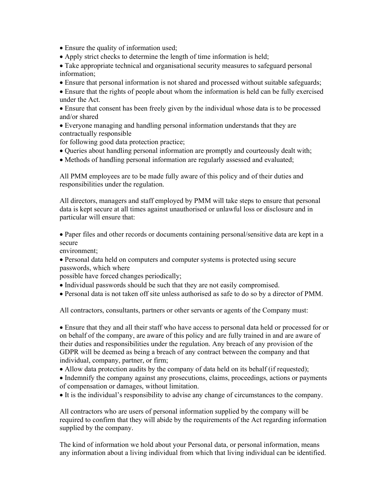Ensure the quality of information used;

Apply strict checks to determine the length of time information is held;

 Take appropriate technical and organisational security measures to safeguard personal information;

Ensure that personal information is not shared and processed without suitable safeguards;

 Ensure that the rights of people about whom the information is held can be fully exercised under the Act.

 Ensure that consent has been freely given by the individual whose data is to be processed and/or shared

 Everyone managing and handling personal information understands that they are contractually responsible

for following good data protection practice;

- Queries about handling personal information are promptly and courteously dealt with;
- Methods of handling personal information are regularly assessed and evaluated;

All PMM employees are to be made fully aware of this policy and of their duties and responsibilities under the regulation.

All directors, managers and staff employed by PMM will take steps to ensure that personal data is kept secure at all times against unauthorised or unlawful loss or disclosure and in particular will ensure that:

 Paper files and other records or documents containing personal/sensitive data are kept in a secure

environment;

 Personal data held on computers and computer systems is protected using secure passwords, which where

possible have forced changes periodically;

- Individual passwords should be such that they are not easily compromised.
- Personal data is not taken off site unless authorised as safe to do so by a director of PMM.

All contractors, consultants, partners or other servants or agents of the Company must:

 Ensure that they and all their staff who have access to personal data held or processed for or on behalf of the company, are aware of this policy and are fully trained in and are aware of their duties and responsibilities under the regulation. Any breach of any provision of the GDPR will be deemed as being a breach of any contract between the company and that individual, company, partner, or firm;

• Allow data protection audits by the company of data held on its behalf (if requested);

• Indemnify the company against any prosecutions, claims, proceedings, actions or payments of compensation or damages, without limitation.

It is the individual's responsibility to advise any change of circumstances to the company.

All contractors who are users of personal information supplied by the company will be required to confirm that they will abide by the requirements of the Act regarding information supplied by the company.

The kind of information we hold about your Personal data, or personal information, means any information about a living individual from which that living individual can be identified.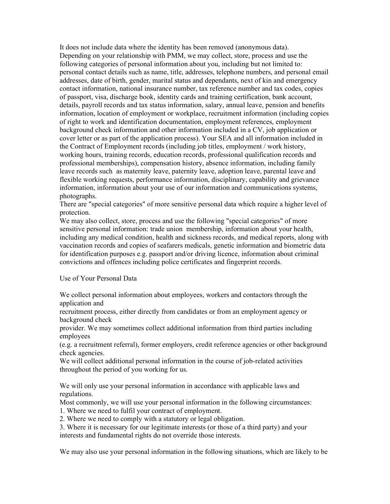It does not include data where the identity has been removed (anonymous data). Depending on your relationship with PMM, we may collect, store, process and use the following categories of personal information about you, including but not limited to: personal contact details such as name, title, addresses, telephone numbers, and personal email addresses, date of birth, gender, marital status and dependants, next of kin and emergency contact information, national insurance number, tax reference number and tax codes, copies of passport, visa, discharge book, identity cards and training certification, bank account, details, payroll records and tax status information, salary, annual leave, pension and benefits information, location of employment or workplace, recruitment information (including copies of right to work and identification documentation, employment references, employment background check information and other information included in a CV, job application or cover letter or as part of the application process). Your SEA and all information included in the Contract of Employment records (including job titles, employment / work history, working hours, training records, education records, professional qualification records and professional memberships), compensation history, absence information, including family leave records such as maternity leave, paternity leave, adoption leave, parental leave and flexible working requests, performance information, disciplinary, capability and grievance information, information about your use of our information and communications systems, photographs.

There are "special categories" of more sensitive personal data which require a higher level of protection.

We may also collect, store, process and use the following "special categories" of more sensitive personal information: trade union membership, information about your health, including any medical condition, health and sickness records, and medical reports, along with vaccination records and copies of seafarers medicals, genetic information and biometric data for identification purposes e.g. passport and/or driving licence, information about criminal convictions and offences including police certificates and fingerprint records.

#### Use of Your Personal Data

We collect personal information about employees, workers and contactors through the application and

recruitment process, either directly from candidates or from an employment agency or background check

provider. We may sometimes collect additional information from third parties including employees

(e.g. a recruitment referral), former employers, credit reference agencies or other background check agencies.

We will collect additional personal information in the course of job-related activities throughout the period of you working for us.

We will only use your personal information in accordance with applicable laws and regulations.

Most commonly, we will use your personal information in the following circumstances:

1. Where we need to fulfil your contract of employment.

2. Where we need to comply with a statutory or legal obligation.

3. Where it is necessary for our legitimate interests (or those of a third party) and your interests and fundamental rights do not override those interests.

We may also use your personal information in the following situations, which are likely to be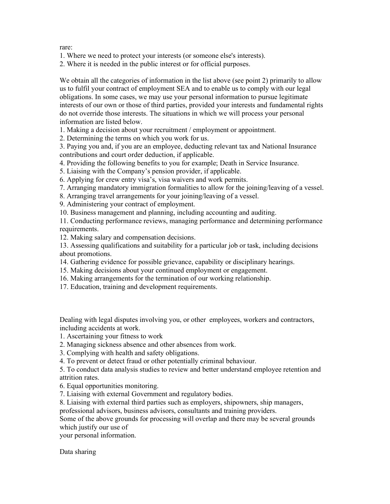rare:

1. Where we need to protect your interests (or someone else's interests).

2. Where it is needed in the public interest or for official purposes.

We obtain all the categories of information in the list above (see point 2) primarily to allow us to fulfil your contract of employment SEA and to enable us to comply with our legal obligations. In some cases, we may use your personal information to pursue legitimate interests of our own or those of third parties, provided your interests and fundamental rights do not override those interests. The situations in which we will process your personal information are listed below.

1. Making a decision about your recruitment / employment or appointment.

2. Determining the terms on which you work for us.

3. Paying you and, if you are an employee, deducting relevant tax and National Insurance contributions and court order deduction, if applicable.

4. Providing the following benefits to you for example; Death in Service Insurance.

5. Liaising with the Company's pension provider, if applicable.

6. Applying for crew entry visa's, visa waivers and work permits.

7. Arranging mandatory immigration formalities to allow for the joining/leaving of a vessel.

8. Arranging travel arrangements for your joining/leaving of a vessel.

9. Administering your contract of employment.

10. Business management and planning, including accounting and auditing.

11. Conducting performance reviews, managing performance and determining performance requirements.

12. Making salary and compensation decisions.

13. Assessing qualifications and suitability for a particular job or task, including decisions about promotions.

14. Gathering evidence for possible grievance, capability or disciplinary hearings.

15. Making decisions about your continued employment or engagement.

- 16. Making arrangements for the termination of our working relationship.
- 17. Education, training and development requirements.

Dealing with legal disputes involving you, or other employees, workers and contractors, including accidents at work.

- 1. Ascertaining your fitness to work
- 2. Managing sickness absence and other absences from work.
- 3. Complying with health and safety obligations.

4. To prevent or detect fraud or other potentially criminal behaviour.

5. To conduct data analysis studies to review and better understand employee retention and attrition rates.

6. Equal opportunities monitoring.

7. Liaising with external Government and regulatory bodies.

8. Liaising with external third parties such as employers, shipowners, ship managers,

professional advisors, business advisors, consultants and training providers.

Some of the above grounds for processing will overlap and there may be several grounds which justify our use of

your personal information.

Data sharing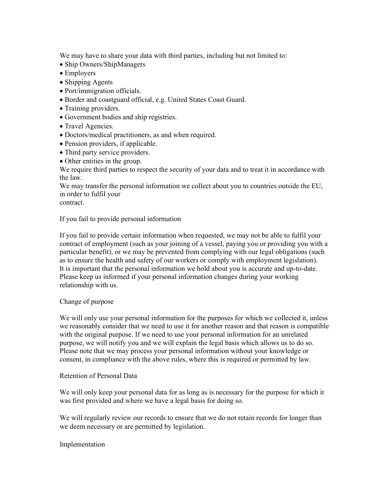We may have to share your data with third parties, including but not limited to:

- Ship Owners/ShipManagers
- Employers
- Shipping Agents
- Port/immigration officials.
- Border and coastguard official, e.g. United States Coast Guard.
- Training providers.
- Government bodies and ship registries.
- Travel Agencies.
- Doctors/medical practitioners, as and when required.
- Pension providers, if applicable.
- Third party service providers.
- Other entities in the group.

We require third parties to respect the security of your data and to treat it in accordance with the law.

We may transfer the personal information we collect about you to countries outside the EU, in order to fulfil your

contract.

If you fail to provide personal information

If you fail to provide certain information when requested, we may not be able to fulfil your contract of employment (such as your joining of a vessel, paying you or providing you with a particular benefit), or we may be prevented from complying with our legal obligations (such as to ensure the health and safety of our workers or comply with employment legislation). It is important that the personal information we hold about you is accurate and up-to-date. Please keep us informed if your personal information changes during your working relationship with us.

# Change of purpose

We will only use your personal information for the purposes for which we collected it, unless we reasonably consider that we need to use it for another reason and that reason is compatible with the original purpose. If we need to use your personal information for an unrelated purpose, we will notify you and we will explain the legal basis which allows us to do so. Please note that we may process your personal information without your knowledge or consent, in compliance with the above rules, where this is required or permitted by law.

### Retention of Personal Data

We will only keep your personal data for as long as is necessary for the purpose for which it was first provided and where we have a legal basis for doing so.

We will regularly review our records to ensure that we do not retain records for longer than we deem necessary or are permitted by legislation.

Implementation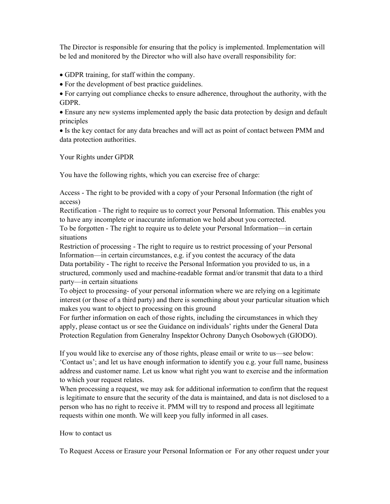The Director is responsible for ensuring that the policy is implemented. Implementation will be led and monitored by the Director who will also have overall responsibility for:

GDPR training, for staff within the company.

For the development of best practice guidelines.

 For carrying out compliance checks to ensure adherence, throughout the authority, with the GDPR.

 Ensure any new systems implemented apply the basic data protection by design and default principles

 Is the key contact for any data breaches and will act as point of contact between PMM and data protection authorities.

Your Rights under GPDR

You have the following rights, which you can exercise free of charge:

Access - The right to be provided with a copy of your Personal Information (the right of access)

Rectification - The right to require us to correct your Personal Information. This enables you to have any incomplete or inaccurate information we hold about you corrected.

To be forgotten - The right to require us to delete your Personal Information—in certain situations

Restriction of processing - The right to require us to restrict processing of your Personal Information—in certain circumstances, e.g. if you contest the accuracy of the data Data portability - The right to receive the Personal Information you provided to us, in a structured, commonly used and machine-readable format and/or transmit that data to a third party—in certain situations

To object to processing- of your personal information where we are relying on a legitimate interest (or those of a third party) and there is something about your particular situation which makes you want to object to processing on this ground

For further information on each of those rights, including the circumstances in which they apply, please contact us or see the Guidance on individuals' rights under the General Data Protection Regulation from Generalny Inspektor Ochrony Danych Osobowych (GIODO).

If you would like to exercise any of those rights, please email or write to us—see below: 'Contact us'; and let us have enough information to identify you e.g. your full name, business address and customer name. Let us know what right you want to exercise and the information to which your request relates.

When processing a request, we may ask for additional information to confirm that the request is legitimate to ensure that the security of the data is maintained, and data is not disclosed to a person who has no right to receive it. PMM will try to respond and process all legitimate requests within one month. We will keep you fully informed in all cases.

# How to contact us

To Request Access or Erasure your Personal Information or For any other request under your